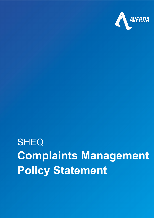

## **SHEQ Complaints Management Policy Statement**